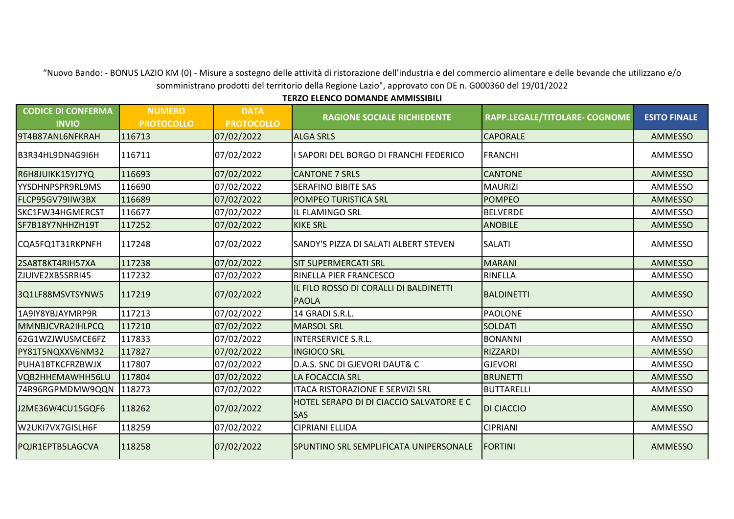"Nuovo Bando: - BONUS LAZIO KM (0) - Misure a sostegno delle attività di ristorazione dell'industria e del commercio alimentare e delle bevande che utilizzano e/o somministrano prodotti del territorio della Regione Lazio", approvato con DE n. G000360 del 19/01/2022

**TERZO ELENCO DOMANDE AMMISSIBILI** 

| <b>CODICE DI CONFERMA</b><br><b>INVIO</b> | <b>NUMERO</b><br><b>PROTOCOLLO</b> | <b>DATA</b><br><b>PROTOCOLLO</b> | <b>RAGIONE SOCIALE RICHIEDENTE</b>                     | RAPP.LEGALE/TITOLARE- COGNOME | <b>ESITO FINALE</b> |
|-------------------------------------------|------------------------------------|----------------------------------|--------------------------------------------------------|-------------------------------|---------------------|
| 9T4B87ANL6NFKRAH                          | 116713                             | 07/02/2022                       | <b>ALGA SRLS</b>                                       | <b>CAPORALE</b>               | <b>AMMESSO</b>      |
| B3R34HL9DN4G9I6H                          | 116711                             | 07/02/2022                       | SAPORI DEL BORGO DI FRANCHI FEDERICO                   | <b>FRANCHI</b>                | AMMESSO             |
| R6H8JUIKK15YJ7YQ                          | 116693                             | 07/02/2022                       | <b>CANTONE 7 SRLS</b>                                  | <b>CANTONE</b>                | <b>AMMESSO</b>      |
| YYSDHNPSPR9RL9MS                          | 116690                             | 07/02/2022                       | <b>SERAFINO BIBITE SAS</b>                             | <b>MAURIZI</b>                | AMMESSO             |
| FLCP95GV79IIW3BX                          | 116689                             | 07/02/2022                       | POMPEO TURISTICA SRL                                   | <b>POMPEO</b>                 | <b>AMMESSO</b>      |
| SKC1FW34HGMERCST                          | 116677                             | 07/02/2022                       | IL FLAMINGO SRL                                        | <b>BELVERDE</b>               | AMMESSO             |
| SF7B18Y7NHHZH19T                          | 117252                             | 07/02/2022                       | <b>KIKE SRL</b>                                        | <b>ANOBILE</b>                | <b>AMMESSO</b>      |
| CQA5FQ1T31RKPNFH                          | 117248                             | 07/02/2022                       | SANDY'S PIZZA DI SALATI ALBERT STEVEN                  | <b>SALATI</b>                 | AMMESSO             |
| 2SA8T8KT4RIH57XA                          | 117238                             | 07/02/2022                       | <b>SIT SUPERMERCATI SRL</b>                            | <b>MARANI</b>                 | <b>AMMESSO</b>      |
| ZJUIVE2XB5SRRI45                          | 117232                             | 07/02/2022                       | RINELLA PIER FRANCESCO                                 | RINELLA                       | <b>AMMESSO</b>      |
| 3Q1LF88MSVTSYNW5                          | 117219                             | 07/02/2022                       | IL FILO ROSSO DI CORALLI DI BALDINETTI<br><b>PAOLA</b> | <b>BALDINETTI</b>             | AMMESSO             |
| 1A9IY8YBJAYMRP9R                          | 117213                             | 07/02/2022                       | 14 GRADI S.R.L.                                        | <b>PAOLONE</b>                | AMMESSO             |
| MMNBJCVRA2IHLPCQ                          | 117210                             | 07/02/2022                       | <b>MARSOL SRL</b>                                      | <b>SOLDATI</b>                | <b>AMMESSO</b>      |
| 62G1WZJWUSMCE6FZ                          | 117833                             | 07/02/2022                       | <b>INTERSERVICE S.R.L.</b>                             | <b>BONANNI</b>                | AMMESSO             |
| PY81T5NQXXV6NM32                          | 117827                             | 07/02/2022                       | <b>INGIOCO SRL</b>                                     | <b>RIZZARDI</b>               | <b>AMMESSO</b>      |
| PUHA1BTKCFRZBWJX                          | 117807                             | 07/02/2022                       | D.A.S. SNC DI GJEVORI DAUT& C                          | <b>GJEVORI</b>                | AMMESSO             |
| VQB2HHEMAWHH56LU                          | 117804                             | 07/02/2022                       | LA FOCACCIA SRL                                        | <b>BRUNETTI</b>               | <b>AMMESSO</b>      |
| 74R96RGPMDMW9QQN                          | 118273                             | 07/02/2022                       | <b>ITACA RISTORAZIONE E SERVIZI SRL</b>                | BUTTARELLI                    | <b>AMMESSO</b>      |
| J2ME36W4CU15GQF6                          | 118262                             | 07/02/2022                       | HOTEL SERAPO DI DI CIACCIO SALVATORE E C<br><b>SAS</b> | <b>DI CIACCIO</b>             | AMMESSO             |
| W2UKI7VX7GISLH6F                          | 118259                             | 07/02/2022                       | <b>CIPRIANI ELLIDA</b>                                 | <b>CIPRIANI</b>               | AMMESSO             |
| PQJR1EPTB5LAGCVA                          | 118258                             | 07/02/2022                       | SPUNTINO SRL SEMPLIFICATA UNIPERSONALE                 | <b>FORTINI</b>                | <b>AMMESSO</b>      |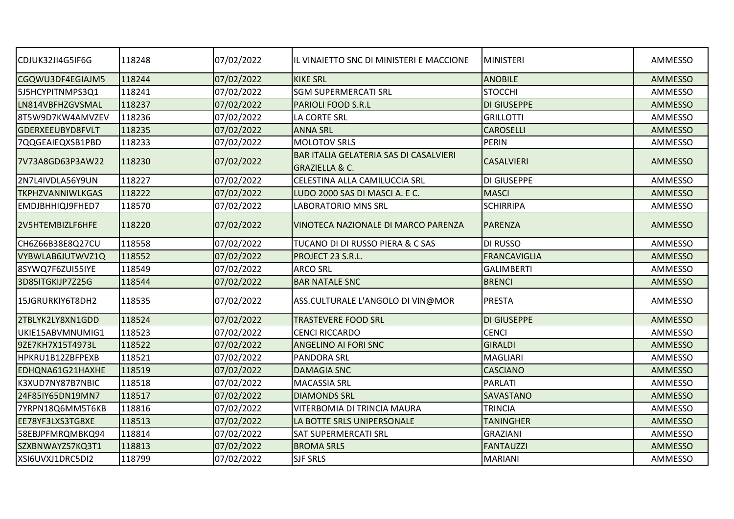| CDJUK32JI4G5IF6G        | 118248 | 07/02/2022 | IL VINAIETTO SNC DI MINISTERI E MACCIONE                            | <b>MINISTERI</b>    | AMMESSO        |
|-------------------------|--------|------------|---------------------------------------------------------------------|---------------------|----------------|
| CGQWU3DF4EGIAJM5        | 118244 | 07/02/2022 | <b>KIKE SRL</b>                                                     | <b>ANOBILE</b>      | <b>AMMESSO</b> |
| 5J5HCYPITNMPS3Q1        | 118241 | 07/02/2022 | <b>SGM SUPERMERCATI SRL</b>                                         | <b>STOCCHI</b>      | <b>AMMESSO</b> |
| LN814VBFHZGVSMAL        | 118237 | 07/02/2022 | <b>PARIOLI FOOD S.R.L</b>                                           | <b>DI GIUSEPPE</b>  | <b>AMMESSO</b> |
| 8T5W9D7KW4AMVZEV        | 118236 | 07/02/2022 | LA CORTE SRL                                                        | <b>GRILLOTTI</b>    | AMMESSO        |
| GDERXEEUBYD8FVLT        | 118235 | 07/02/2022 | <b>ANNA SRL</b>                                                     | <b>CAROSELLI</b>    | AMMESSO        |
| 7QQGEAIEQXSB1PBD        | 118233 | 07/02/2022 | <b>MOLOTOV SRLS</b>                                                 | PERIN               | AMMESSO        |
| 7V73A8GD63P3AW22        | 118230 | 07/02/2022 | BAR ITALIA GELATERIA SAS DI CASALVIERI<br><b>GRAZIELLA &amp; C.</b> | <b>CASALVIERI</b>   | <b>AMMESSO</b> |
| 2N7L4IVDLA56Y9UN        | 118227 | 07/02/2022 | CELESTINA ALLA CAMILUCCIA SRL                                       | <b>DI GIUSEPPE</b>  | AMMESSO        |
| <b>TKPHZVANNIWLKGAS</b> | 118222 | 07/02/2022 | LUDO 2000 SAS DI MASCI A. E C.                                      | <b>MASCI</b>        | <b>AMMESSO</b> |
| EMDJBHHIQJ9FHED7        | 118570 | 07/02/2022 | <b>LABORATORIO MNS SRL</b>                                          | <b>SCHIRRIPA</b>    | AMMESSO        |
| 2V5HTEMBIZLF6HFE        | 118220 | 07/02/2022 | VINOTECA NAZIONALE DI MARCO PARENZA                                 | <b>PARENZA</b>      | AMMESSO        |
| CH6Z66B38E8Q27CU        | 118558 | 07/02/2022 | TUCANO DI DI RUSSO PIERA & C SAS                                    | DI RUSSO            | <b>AMMESSO</b> |
| VYBWLAB6JUTWVZ1Q        | 118552 | 07/02/2022 | PROJECT 23 S.R.L.                                                   | <b>FRANCAVIGLIA</b> | <b>AMMESSO</b> |
| 8SYWQ7F6ZUI55IYE        | 118549 | 07/02/2022 | <b>ARCO SRL</b>                                                     | <b>GALIMBERTI</b>   | <b>AMMESSO</b> |
| 3D85ITGKIJP7Z25G        | 118544 | 07/02/2022 | <b>BAR NATALE SNC</b>                                               | <b>BRENCI</b>       | <b>AMMESSO</b> |
| 15JGRURKIY6T8DH2        | 118535 | 07/02/2022 | ASS.CULTURALE L'ANGOLO DI VIN@MOR                                   | <b>PRESTA</b>       | AMMESSO        |
| 2TBLYK2LY8XN1GDD        | 118524 | 07/02/2022 | <b>TRASTEVERE FOOD SRL</b>                                          | <b>DI GIUSEPPE</b>  | <b>AMMESSO</b> |
| UKIE15ABVMNUMIG1        | 118523 | 07/02/2022 | <b>CENCI RICCARDO</b>                                               | <b>CENCI</b>        | AMMESSO        |
| 9ZE7KH7X15T4973L        | 118522 | 07/02/2022 | <b>ANGELINO AI FORI SNC</b>                                         | <b>GIRALDI</b>      | <b>AMMESSO</b> |
| HPKRU1B12ZBFPEXB        | 118521 | 07/02/2022 | <b>PANDORA SRL</b>                                                  | <b>MAGLIARI</b>     | <b>AMMESSO</b> |
| EDHQNA61G21HAXHE        | 118519 | 07/02/2022 | <b>DAMAGIA SNC</b>                                                  | <b>CASCIANO</b>     | <b>AMMESSO</b> |
| K3XUD7NY87B7NBIC        | 118518 | 07/02/2022 | <b>MACASSIA SRL</b>                                                 | PARLATI             | AMMESSO        |
| 24F85IY65DN19MN7        | 118517 | 07/02/2022 | <b>DIAMONDS SRL</b>                                                 | <b>SAVASTANO</b>    | <b>AMMESSO</b> |
| 7YRPN18Q6MM5T6KB        | 118816 | 07/02/2022 | VITERBOMIA DI TRINCIA MAURA                                         | <b>TRINCIA</b>      | <b>AMMESSO</b> |
| EE78YF3LXS3TG8XE        | 118513 | 07/02/2022 | LA BOTTE SRLS UNIPERSONALE                                          | <b>TANINGHER</b>    | <b>AMMESSO</b> |
| 58EBJPFMRQMBKQ94        | 118814 | 07/02/2022 | <b>SAT SUPERMERCATI SRL</b>                                         | <b>GRAZIANI</b>     | AMMESSO        |
| SZXBNWAYZS7KQ3T1        | 118813 | 07/02/2022 | <b>BROMA SRLS</b>                                                   | <b>FANTAUZZI</b>    | <b>AMMESSO</b> |
| XSI6UVXJ1DRC5DI2        | 118799 | 07/02/2022 | <b>SJF SRLS</b>                                                     | <b>MARIANI</b>      | <b>AMMESSO</b> |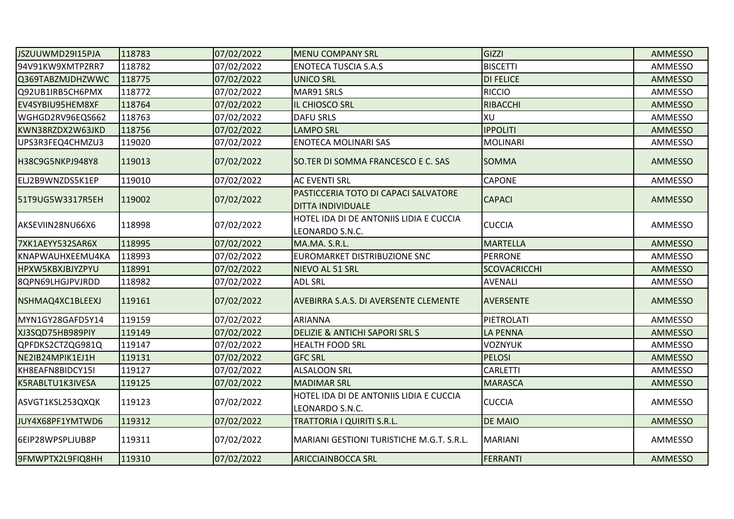| JSZUUWMD29I15PJA        | 118783 | 07/02/2022 | <b>MENU COMPANY SRL</b>                                          | GIZZI               | AMMESSO        |
|-------------------------|--------|------------|------------------------------------------------------------------|---------------------|----------------|
| 94V91KW9XMTPZRR7        | 118782 | 07/02/2022 | <b>ENOTECA TUSCIA S.A.S</b>                                      | <b>BISCETTI</b>     | AMMESSO        |
| Q369TABZMJDHZWWC        | 118775 | 07/02/2022 | <b>UNICO SRL</b>                                                 | <b>DI FELICE</b>    | <b>AMMESSO</b> |
| Q92UB1IRB5CH6PMX        | 118772 | 07/02/2022 | MAR91 SRLS                                                       | <b>RICCIO</b>       | AMMESSO        |
| EV4SYBIU95HEM8XF        | 118764 | 07/02/2022 | IL CHIOSCO SRL                                                   | <b>RIBACCHI</b>     | AMMESSO        |
| WGHGD2RV96EQS662        | 118763 | 07/02/2022 | <b>DAFU SRLS</b>                                                 | lxu                 | AMMESSO        |
| KWN38RZDX2W63JKD        | 118756 | 07/02/2022 | <b>LAMPO SRL</b>                                                 | <b>IPPOLITI</b>     | AMMESSO        |
| UPS3R3FEQ4CHMZU3        | 119020 | 07/02/2022 | <b>ENOTECA MOLINARI SAS</b>                                      | MOLINARI            | AMMESSO        |
| H38C9G5NKPJ948Y8        | 119013 | 07/02/2022 | SO.TER DI SOMMA FRANCESCO E C. SAS                               | <b>SOMMA</b>        | <b>AMMESSO</b> |
| ELJ2B9WNZDS5K1EP        | 119010 | 07/02/2022 | <b>AC EVENTI SRL</b>                                             | <b>CAPONE</b>       | AMMESSO        |
| 51T9UG5W3317R5EH        | 119002 | 07/02/2022 | PASTICCERIA TOTO DI CAPACI SALVATORE<br><b>DITTA INDIVIDUALE</b> | <b>CAPACI</b>       | AMMESSO        |
| AKSEVIIN28NU66X6        | 118998 | 07/02/2022 | HOTEL IDA DI DE ANTONIIS LIDIA E CUCCIA<br>LEONARDO S.N.C.       | <b>CUCCIA</b>       | AMMESSO        |
| 7XK1AEYY532SAR6X        | 118995 | 07/02/2022 | MA.MA. S.R.L.                                                    | <b>MARTELLA</b>     | AMMESSO        |
| KNAPWAUHXEEMU4KA        | 118993 | 07/02/2022 | EUROMARKET DISTRIBUZIONE SNC                                     | <b>PERRONE</b>      | AMMESSO        |
| <b>HPXW5KBXJBJYZPYU</b> | 118991 | 07/02/2022 | NIEVO AL 51 SRL                                                  | <b>SCOVACRICCHI</b> | <b>AMMESSO</b> |
| 8QPN69LHGJPVJRDD        | 118982 | 07/02/2022 | <b>ADL SRL</b>                                                   | <b>AVENALI</b>      | AMMESSO        |
| NSHMAQ4XC1BLEEXJ        | 119161 | 07/02/2022 | AVEBIRRA S.A.S. DI AVERSENTE CLEMENTE                            | <b>AVERSENTE</b>    | <b>AMMESSO</b> |
| MYN1GY28GAFD5Y14        | 119159 | 07/02/2022 | ARIANNA                                                          | PIETROLATI          | AMMESSO        |
| XJ3SQD75HB989PIY        | 119149 | 07/02/2022 | <b>DELIZIE &amp; ANTICHI SAPORI SRL S</b>                        | <b>LA PENNA</b>     | AMMESSO        |
| QPFDKS2CTZQG981Q        | 119147 | 07/02/2022 | <b>HEALTH FOOD SRL</b>                                           | <b>VOZNYUK</b>      | AMMESSO        |
| NE2IB24MPIK1EJ1H        | 119131 | 07/02/2022 | <b>GFC SRL</b>                                                   | <b>PELOSI</b>       | <b>AMMESSO</b> |
| KH8EAFN8BIDCY15I        | 119127 | 07/02/2022 | <b>ALSALOON SRL</b>                                              | <b>CARLETTI</b>     | AMMESSO        |
| K5RABLTU1K3IVESA        | 119125 | 07/02/2022 | <b>MADIMAR SRL</b>                                               | <b>MARASCA</b>      | AMMESSO        |
| ASVGT1KSL253QXQK        | 119123 | 07/02/2022 | HOTEL IDA DI DE ANTONIIS LIDIA E CUCCIA<br>LEONARDO S.N.C.       | <b>CUCCIA</b>       | AMMESSO        |
| JUY4X68PF1YMTWD6        | 119312 | 07/02/2022 | TRATTORIA I QUIRITI S.R.L.                                       | <b>DE MAIO</b>      | AMMESSO        |
| 6EIP28WPSPLJUB8P        | 119311 | 07/02/2022 | MARIANI GESTIONI TURISTICHE M.G.T. S.R.L.                        | <b>MARIANI</b>      | AMMESSO        |
| 9FMWPTX2L9FIQ8HH        | 119310 | 07/02/2022 | <b>ARICCIAINBOCCA SRL</b>                                        | <b>FERRANTI</b>     | <b>AMMESSO</b> |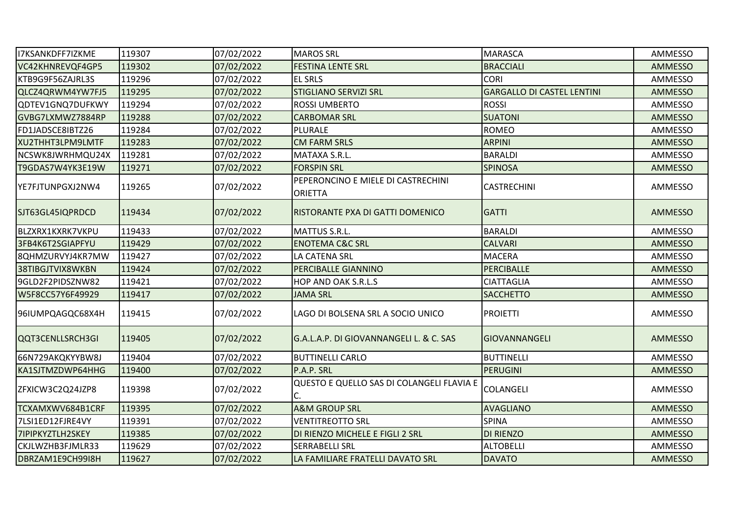| I7KSANKDFF7IZKME        | 119307 | 07/02/2022 | <b>MAROS SRL</b>                                     | <b>MARASCA</b>                    | AMMESSO        |
|-------------------------|--------|------------|------------------------------------------------------|-----------------------------------|----------------|
| VC42KHNREVQF4GP5        | 119302 | 07/02/2022 | <b>FESTINA LENTE SRL</b>                             | <b>BRACCIALI</b>                  | <b>AMMESSO</b> |
| KTB9G9F56ZAJRL3S        | 119296 | 07/02/2022 | <b>EL SRLS</b>                                       | <b>CORI</b>                       | AMMESSO        |
| QLCZ4QRWM4YW7FJ5        | 119295 | 07/02/2022 | <b>STIGLIANO SERVIZI SRL</b>                         | <b>GARGALLO DI CASTEL LENTINI</b> | <b>AMMESSO</b> |
| QDTEV1GNQ7DUFKWY        | 119294 | 07/02/2022 | <b>ROSSI UMBERTO</b>                                 | <b>ROSSI</b>                      | AMMESSO        |
| GVBG7LXMWZ7884RP        | 119288 | 07/02/2022 | <b>CARBOMAR SRL</b>                                  | <b>SUATONI</b>                    | <b>AMMESSO</b> |
| FD1JADSCE8IBTZ26        | 119284 | 07/02/2022 | PLURALE                                              | <b>ROMEO</b>                      | AMMESSO        |
| XU2THHT3LPM9LMTF        | 119283 | 07/02/2022 | <b>CM FARM SRLS</b>                                  | <b>ARPINI</b>                     | <b>AMMESSO</b> |
| NCSWK8JWRHMQU24X        | 119281 | 07/02/2022 | MATAXA S.R.L.                                        | <b>BARALDI</b>                    | AMMESSO        |
| T9GDAS7W4YK3E19W        | 119271 | 07/02/2022 | <b>FORSPIN SRL</b>                                   | <b>SPINOSA</b>                    | AMMESSO        |
| YE7FJTUNPGXJ2NW4        | 119265 | 07/02/2022 | PEPERONCINO E MIELE DI CASTRECHINI<br><b>ORIETTA</b> | <b>CASTRECHINI</b>                | AMMESSO        |
| SJT63GL45IQPRDCD        | 119434 | 07/02/2022 | RISTORANTE PXA DI GATTI DOMENICO                     | <b>GATTI</b>                      | <b>AMMESSO</b> |
| BLZXRX1KXRK7VKPU        | 119433 | 07/02/2022 | MATTUS S.R.L.                                        | <b>BARALDI</b>                    | AMMESSO        |
| 3FB4K6T2SGIAPFYU        | 119429 | 07/02/2022 | <b>ENOTEMA C&amp;C SRL</b>                           | <b>CALVARI</b>                    | <b>AMMESSO</b> |
| 8QHMZURVYJ4KR7MW        | 119427 | 07/02/2022 | LA CATENA SRL                                        | <b>MACERA</b>                     | AMMESSO        |
| 38TIBGJTVIX8WKBN        | 119424 | 07/02/2022 | PERCIBALLE GIANNINO                                  | PERCIBALLE                        | <b>AMMESSO</b> |
| 9GLD2F2PIDSZNW82        | 119421 | 07/02/2022 | HOP AND OAK S.R.L.S                                  | <b>CIATTAGLIA</b>                 | AMMESSO        |
| W5F8CC57Y6F49929        | 119417 | 07/02/2022 | JAMA SRL                                             | <b>SACCHETTO</b>                  | <b>AMMESSO</b> |
| 96IUMPQAGQC68X4H        | 119415 | 07/02/2022 | LAGO DI BOLSENA SRL A SOCIO UNICO                    | <b>PROIETTI</b>                   | AMMESSO        |
| QQT3CENLLSRCH3GI        | 119405 | 07/02/2022 | G.A.L.A.P. DI GIOVANNANGELI L. & C. SAS              | <b>GIOVANNANGELI</b>              | <b>AMMESSO</b> |
| 66N729AKQKYYBW8J        | 119404 | 07/02/2022 | <b>BUTTINELLI CARLO</b>                              | BUTTINELLI                        | AMMESSO        |
| KA1SJTMZDWP64HHG        | 119400 | 07/02/2022 | P.A.P. SRL                                           | PERUGINI                          | <b>AMMESSO</b> |
| ZFXICW3C2Q24JZP8        | 119398 | 07/02/2022 | QUESTO E QUELLO SAS DI COLANGELI FLAVIA E            | <b>COLANGELI</b>                  | AMMESSO        |
| TCXAMXWV684B1CRF        | 119395 | 07/02/2022 | <b>A&amp;M GROUP SRL</b>                             | <b>AVAGLIANO</b>                  | <b>AMMESSO</b> |
| 7LSI1ED12FJRE4VY        | 119391 | 07/02/2022 | <b>VENTITREOTTO SRL</b>                              | <b>SPINA</b>                      | AMMESSO        |
| <b>7IPIPKYZTLH2SKEY</b> | 119385 | 07/02/2022 | DI RIENZO MICHELE E FIGLI 2 SRL                      | DI RIENZO                         | <b>AMMESSO</b> |
| CKJLWZHB3FJMLR33        | 119629 | 07/02/2022 | <b>SERRABELLI SRL</b>                                | <b>ALTOBELLI</b>                  | AMMESSO        |
| DBRZAM1E9CH99I8H        | 119627 | 07/02/2022 | LA FAMILIARE FRATELLI DAVATO SRL                     | <b>DAVATO</b>                     | <b>AMMESSO</b> |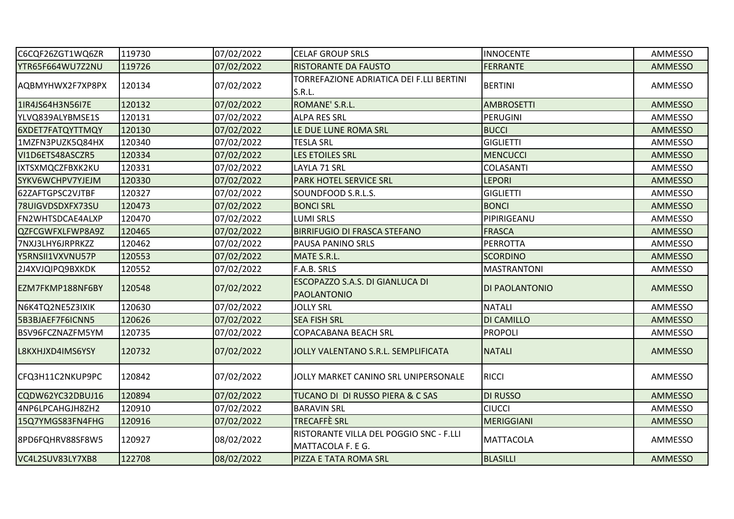| C6CQF26ZGT1WQ6ZR | 119730 | 07/02/2022 | <b>CELAF GROUP SRLS</b>                                      | <b>INNOCENTE</b>   | AMMESSO        |
|------------------|--------|------------|--------------------------------------------------------------|--------------------|----------------|
| YTR65F664WU7Z2NU | 119726 | 07/02/2022 | <b>RISTORANTE DA FAUSTO</b>                                  | <b>FERRANTE</b>    | <b>AMMESSO</b> |
| AQBMYHWX2F7XP8PX | 120134 | 07/02/2022 | TORREFAZIONE ADRIATICA DEI F.LLI BERTINI<br>S.R.L.           | <b>BERTINI</b>     | AMMESSO        |
| 1IR4JS64H3N56I7E | 120132 | 07/02/2022 | ROMANE' S.R.L.                                               | <b>AMBROSETTI</b>  | <b>AMMESSO</b> |
| YLVQ839ALYBMSE1S | 120131 | 07/02/2022 | <b>ALPA RES SRL</b>                                          | PERUGINI           | AMMESSO        |
| 6XDET7FATQYTTMQY | 120130 | 07/02/2022 | LE DUE LUNE ROMA SRL                                         | <b>BUCCI</b>       | AMMESSO        |
| 1MZFN3PUZK5Q84HX | 120340 | 07/02/2022 | <b>TESLA SRL</b>                                             | <b>GIGLIETTI</b>   | AMMESSO        |
| VI1D6ETS48ASCZR5 | 120334 | 07/02/2022 | LES ETOILES SRL                                              | <b>MENCUCCI</b>    | AMMESSO        |
| IXTSXMQCZFBXK2KU | 120331 | 07/02/2022 | LAYLA 71 SRL                                                 | <b>COLASANTI</b>   | AMMESSO        |
| SYKV6WCHPV7YJEJM | 120330 | 07/02/2022 | PARK HOTEL SERVICE SRL                                       | <b>LEPORI</b>      | AMMESSO        |
| 62ZAFTGPSC2VJTBF | 120327 | 07/02/2022 | SOUNDFOOD S.R.L.S.                                           | <b>GIGLIETTI</b>   | AMMESSO        |
| 78UIGVDSDXFX73SU | 120473 | 07/02/2022 | <b>BONCI SRL</b>                                             | <b>BONCI</b>       | <b>AMMESSO</b> |
| FN2WHTSDCAE4ALXP | 120470 | 07/02/2022 | <b>LUMI SRLS</b>                                             | PIPIRIGEANU        | AMMESSO        |
| QZFCGWFXLFWP8A9Z | 120465 | 07/02/2022 | <b>BIRRIFUGIO DI FRASCA STEFANO</b>                          | <b>FRASCA</b>      | <b>AMMESSO</b> |
| 7NXJ3LHY6JRPRKZZ | 120462 | 07/02/2022 | PAUSA PANINO SRLS                                            | <b>PERROTTA</b>    | AMMESSO        |
| Y5RNSII1VXVNU57P | 120553 | 07/02/2022 | MATE S.R.L.                                                  | <b>SCORDINO</b>    | AMMESSO        |
| 2J4XVJQIPQ9BXKDK | 120552 | 07/02/2022 | F.A.B. SRLS                                                  | <b>MASTRANTONI</b> | AMMESSO        |
| EZM7FKMP188NF6BY | 120548 | 07/02/2022 | ESCOPAZZO S.A.S. DI GIANLUCA DI<br><b>PAOLANTONIO</b>        | DI PAOLANTONIO     | <b>AMMESSO</b> |
| N6K4TQ2NE5Z3IXIK | 120630 | 07/02/2022 | <b>JOLLY SRL</b>                                             | <b>NATALI</b>      | AMMESSO        |
| 5B3BJAEF7F6ICNN5 | 120626 | 07/02/2022 | <b>SEA FISH SRL</b>                                          | DI CAMILLO         | AMMESSO        |
| BSV96FCZNAZFM5YM | 120735 | 07/02/2022 | COPACABANA BEACH SRL                                         | PROPOLI            | AMMESSO        |
| L8KXHJXD4IMS6YSY | 120732 | 07/02/2022 | JOLLY VALENTANO S.R.L. SEMPLIFICATA                          | <b>NATALI</b>      | AMMESSO        |
| CFQ3H11C2NKUP9PC | 120842 | 07/02/2022 | JOLLY MARKET CANINO SRL UNIPERSONALE                         | <b>RICCI</b>       | AMMESSO        |
| CQDW62YC32DBUJ16 | 120894 | 07/02/2022 | TUCANO DI DI RUSSO PIERA & C SAS                             | <b>DI RUSSO</b>    | <b>AMMESSO</b> |
| 4NP6LPCAHGJH8ZH2 | 120910 | 07/02/2022 | <b>BARAVIN SRL</b>                                           | <b>CIUCCI</b>      | AMMESSO        |
| 15Q7YMGS83FN4FHG | 120916 | 07/02/2022 | <b>TRECAFFÈ SRL</b>                                          | <b>MERIGGIANI</b>  | AMMESSO        |
| 8PD6FQHRV88SF8W5 | 120927 | 08/02/2022 | RISTORANTE VILLA DEL POGGIO SNC - F.LLI<br>MATTACOLA F. E G. | <b>MATTACOLA</b>   | AMMESSO        |
| VC4L2SUV83LY7XB8 | 122708 | 08/02/2022 | PIZZA E TATA ROMA SRL                                        | <b>BLASILLI</b>    | AMMESSO        |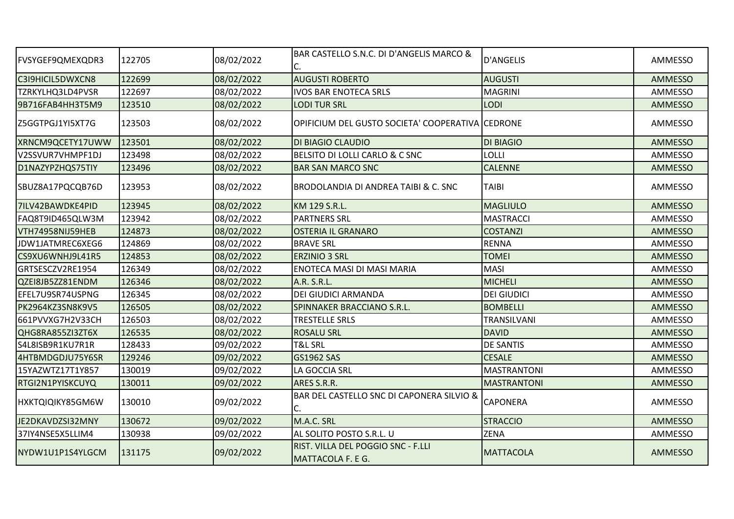| <b>FVSYGEF9QMEXQDR3</b> | 122705 | 08/02/2022 | BAR CASTELLO S.N.C. DI D'ANGELIS MARCO &                | <b>D'ANGELIS</b>   | AMMESSO        |
|-------------------------|--------|------------|---------------------------------------------------------|--------------------|----------------|
| C3I9HICIL5DWXCN8        | 122699 | 08/02/2022 | <b>AUGUSTI ROBERTO</b>                                  | <b>AUGUSTI</b>     | <b>AMMESSO</b> |
| TZRKYLHQ3LD4PVSR        | 122697 | 08/02/2022 | <b>IVOS BAR ENOTECA SRLS</b>                            | <b>MAGRINI</b>     | AMMESSO        |
| 9B716FAB4HH3T5M9        | 123510 | 08/02/2022 | <b>LODI TUR SRL</b>                                     | <b>LODI</b>        | AMMESSO        |
| Z5GGTPGJ1YI5XT7G        | 123503 | 08/02/2022 | OPIFICIUM DEL GUSTO SOCIETA' COOPERATIVA CEDRONE        |                    | AMMESSO        |
| XRNCM9QCETY17UWW        | 123501 | 08/02/2022 | DI BIAGIO CLAUDIO                                       | <b>DI BIAGIO</b>   | <b>AMMESSO</b> |
| V2SSVUR7VHMPF1DJ        | 123498 | 08/02/2022 | BELSITO DI LOLLI CARLO & C SNC                          | LOLLI              | AMMESSO        |
| D1NAZYPZHQS75TIY        | 123496 | 08/02/2022 | <b>BAR SAN MARCO SNC</b>                                | <b>CALENNE</b>     | <b>AMMESSO</b> |
| SBUZ8A17PQCQB76D        | 123953 | 08/02/2022 | BRODOLANDIA DI ANDREA TAIBI & C. SNC                    | <b>TAIBI</b>       | AMMESSO        |
| 7ILV42BAWDKE4PID        | 123945 | 08/02/2022 | KM 129 S.R.L.                                           | <b>MAGLIULO</b>    | <b>AMMESSO</b> |
| FAQ8T9ID465QLW3M        | 123942 | 08/02/2022 | <b>PARTNERS SRL</b>                                     | <b>MASTRACCI</b>   | AMMESSO        |
| VTH74958NIJ59HEB        | 124873 | 08/02/2022 | <b>OSTERIA IL GRANARO</b>                               | <b>COSTANZI</b>    | <b>AMMESSO</b> |
| JDW1JATMREC6XEG6        | 124869 | 08/02/2022 | <b>BRAVE SRL</b>                                        | <b>RENNA</b>       | AMMESSO        |
| CS9XU6WNHJ9L41R5        | 124853 | 08/02/2022 | <b>ERZINIO 3 SRL</b>                                    | <b>TOMEI</b>       | <b>AMMESSO</b> |
| GRTSESCZV2RE1954        | 126349 | 08/02/2022 | <b>ENOTECA MASI DI MASI MARIA</b>                       | <b>MASI</b>        | AMMESSO        |
| QZEI8JB5ZZ81ENDM        | 126346 | 08/02/2022 | A.R. S.R.L.                                             | <b>MICHELI</b>     | <b>AMMESSO</b> |
| EFEL7U9SR74USPNG        | 126345 | 08/02/2022 | <b>DEI GIUDICI ARMANDA</b>                              | <b>DEI GIUDICI</b> | AMMESSO        |
| PK2964KZ3SN8K9V5        | 126505 | 08/02/2022 | SPINNAKER BRACCIANO S.R.L.                              | <b>BOMBELLI</b>    | <b>AMMESSO</b> |
| 661PVVXG7H2V33CH        | 126503 | 08/02/2022 | <b>TRESTELLE SRLS</b>                                   | TRANSILVANI        | AMMESSO        |
| QHG8RA855ZI3ZT6X        | 126535 | 08/02/2022 | <b>ROSALU SRL</b>                                       | <b>DAVID</b>       | <b>AMMESSO</b> |
| S4L8ISB9R1KU7R1R        | 128433 | 09/02/2022 | <b>T&amp;L SRL</b>                                      | <b>DE SANTIS</b>   | AMMESSO        |
| 4HTBMDGDJU75Y6SR        | 129246 | 09/02/2022 | <b>GS1962 SAS</b>                                       | <b>CESALE</b>      | <b>AMMESSO</b> |
| 15YAZWTZ17T1Y857        | 130019 | 09/02/2022 | LA GOCCIA SRL                                           | <b>MASTRANTONI</b> | AMMESSO        |
| RTGI2N1PYISKCUYQ        | 130011 | 09/02/2022 | ARES S.R.R.                                             | <b>MASTRANTONI</b> | AMMESSO        |
| HXKTQIQIKY85GM6W        | 130010 | 09/02/2022 | BAR DEL CASTELLO SNC DI CAPONERA SILVIO &<br>C.         | <b>CAPONERA</b>    | AMMESSO        |
| JE2DKAVDZSI32MNY        | 130672 | 09/02/2022 | M.A.C. SRL                                              | <b>STRACCIO</b>    | <b>AMMESSO</b> |
| 37IY4NSE5X5LLIM4        | 130938 | 09/02/2022 | AL SOLITO POSTO S.R.L. U                                | <b>ZENA</b>        | AMMESSO        |
| NYDW1U1P1S4YLGCM        | 131175 | 09/02/2022 | RIST. VILLA DEL POGGIO SNC - F.LLI<br>MATTACOLA F. E G. | <b>MATTACOLA</b>   | AMMESSO        |